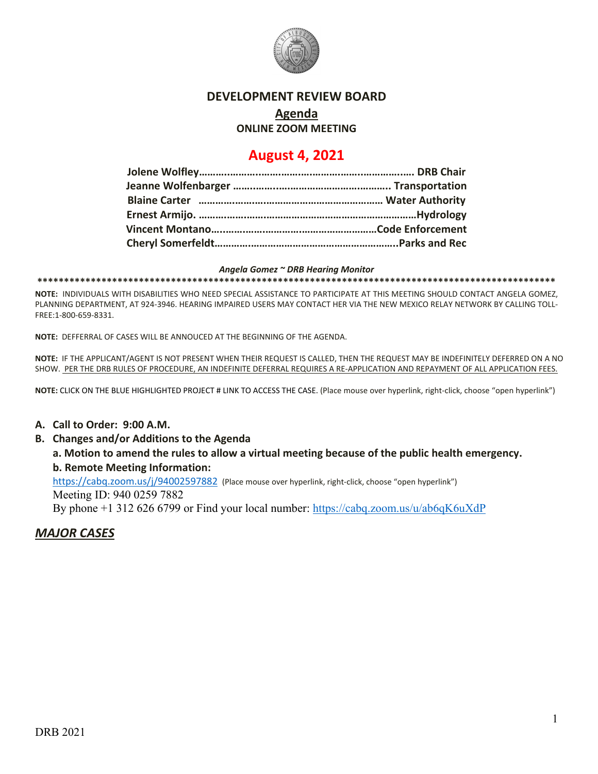

#### **DEVELOPMENT REVIEW BOARD**

# **Agenda**

**ONLINE ZOOM MEETING**

## **August 4, 2021**

#### *Angela Gomez ~ DRB Hearing Monitor*

**\*\*\*\*\*\*\*\*\*\*\*\*\*\*\*\*\*\*\*\*\*\*\*\*\*\*\*\*\*\*\*\*\*\*\*\*\*\*\*\*\*\*\*\*\*\*\*\*\*\*\*\*\*\*\*\*\*\*\*\*\*\*\*\*\*\*\*\*\*\*\*\*\*\*\*\*\*\*\*\*\*\*\*\*\*\*\*\*\*\*\*\*\*\*\*\*\***

**NOTE:** INDIVIDUALS WITH DISABILITIES WHO NEED SPECIAL ASSISTANCE TO PARTICIPATE AT THIS MEETING SHOULD CONTACT ANGELA GOMEZ, PLANNING DEPARTMENT, AT 924-3946. HEARING IMPAIRED USERS MAY CONTACT HER VIA THE NEW MEXICO RELAY NETWORK BY CALLING TOLL-FREE:1-800-659-8331.

**NOTE:** DEFFERRAL OF CASES WILL BE ANNOUCED AT THE BEGINNING OF THE AGENDA.

**NOTE:** IF THE APPLICANT/AGENT IS NOT PRESENT WHEN THEIR REQUEST IS CALLED, THEN THE REQUEST MAY BE INDEFINITELY DEFERRED ON A NO SHOW. PER THE DRB RULES OF PROCEDURE, AN INDEFINITE DEFERRAL REQUIRES A RE-APPLICATION AND REPAYMENT OF ALL APPLICATION FEES.

**NOTE:** CLICK ON THE BLUE HIGHLIGHTED PROJECT # LINK TO ACCESS THE CASE. (Place mouse over hyperlink, right-click, choose "open hyperlink")

#### **A. Call to Order: 9:00 A.M.**

- **B. Changes and/or Additions to the Agenda**
	- **a. Motion to amend the rules to allow a virtual meeting because of the public health emergency. b. Remote Meeting Information:**

<https://cabq.zoom.us/j/94002597882> (Place mouse over hyperlink, right-click, choose "open hyperlink") Meeting ID: 940 0259 7882

By phone +1 312 626 6799 or Find your local number:<https://cabq.zoom.us/u/ab6qK6uXdP>

#### *MAJOR CASES*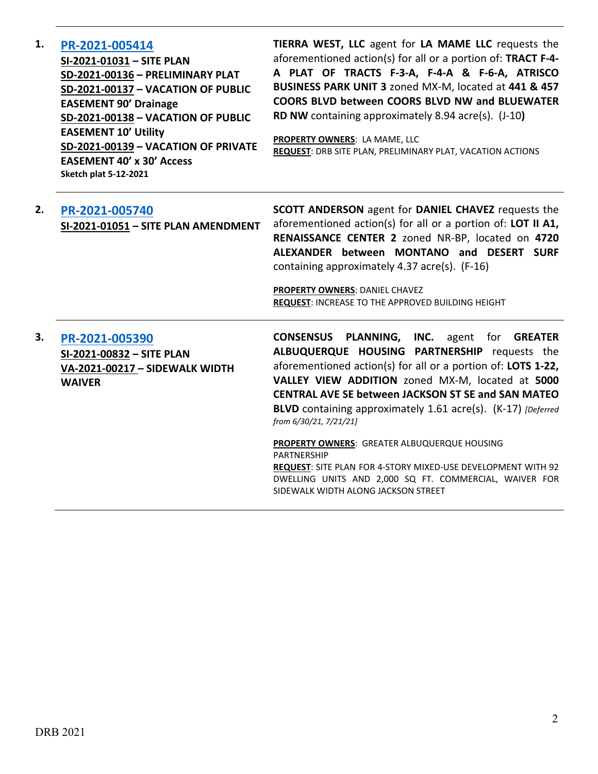| 1. | PR-2021-005414<br>SI-2021-01031 - SITE PLAN<br>SD-2021-00136 - PRELIMINARY PLAT<br>SD-2021-00137 - VACATION OF PUBLIC<br><b>EASEMENT 90' Drainage</b><br>SD-2021-00138 - VACATION OF PUBLIC<br><b>EASEMENT 10' Utility</b><br>SD-2021-00139 - VACATION OF PRIVATE<br><b>EASEMENT 40' x 30' Access</b><br><b>Sketch plat 5-12-2021</b> | TIERRA WEST, LLC agent for LA MAME LLC requests the<br>aforementioned action(s) for all or a portion of: TRACT F-4-<br>A PLAT OF TRACTS F-3-A, F-4-A & F-6-A, ATRISCO<br>BUSINESS PARK UNIT 3 zoned MX-M, located at 441 & 457<br><b>COORS BLVD between COORS BLVD NW and BLUEWATER</b><br>RD NW containing approximately 8.94 acre(s). (J-10)<br>PROPERTY OWNERS: LA MAME, LLC<br>REQUEST: DRB SITE PLAN, PRELIMINARY PLAT, VACATION ACTIONS                                                                                                                                                                                  |
|----|---------------------------------------------------------------------------------------------------------------------------------------------------------------------------------------------------------------------------------------------------------------------------------------------------------------------------------------|--------------------------------------------------------------------------------------------------------------------------------------------------------------------------------------------------------------------------------------------------------------------------------------------------------------------------------------------------------------------------------------------------------------------------------------------------------------------------------------------------------------------------------------------------------------------------------------------------------------------------------|
| 2. | PR-2021-005740<br>SI-2021-01051 - SITE PLAN AMENDMENT                                                                                                                                                                                                                                                                                 | <b>SCOTT ANDERSON</b> agent for <b>DANIEL CHAVEZ</b> requests the<br>aforementioned action(s) for all or a portion of: LOT II A1,<br>RENAISSANCE CENTER 2 zoned NR-BP, located on 4720<br>ALEXANDER between MONTANO and DESERT SURF<br>containing approximately 4.37 acre(s). (F-16)<br>PROPERTY OWNERS: DANIEL CHAVEZ<br>REQUEST: INCREASE TO THE APPROVED BUILDING HEIGHT                                                                                                                                                                                                                                                    |
| 3. | PR-2021-005390<br>SI-2021-00832 - SITE PLAN<br>VA-2021-00217 - SIDEWALK WIDTH<br><b>WAIVER</b>                                                                                                                                                                                                                                        | <b>CONSENSUS PLANNING, INC.</b> agent for<br><b>GREATER</b><br>ALBUQUERQUE HOUSING PARTNERSHIP requests the<br>aforementioned action(s) for all or a portion of: LOTS 1-22,<br>VALLEY VIEW ADDITION zoned MX-M, located at 5000<br><b>CENTRAL AVE SE between JACKSON ST SE and SAN MATEO</b><br>BLVD containing approximately 1.61 acre(s). (K-17) [Deferred]<br>from 6/30/21, 7/21/21]<br>PROPERTY OWNERS: GREATER ALBUQUERQUE HOUSING<br><b>PARTNERSHIP</b><br>REQUEST: SITE PLAN FOR 4-STORY MIXED-USE DEVELOPMENT WITH 92<br>DWELLING UNITS AND 2,000 SQ FT. COMMERCIAL, WAIVER FOR<br>SIDEWALK WIDTH ALONG JACKSON STREET |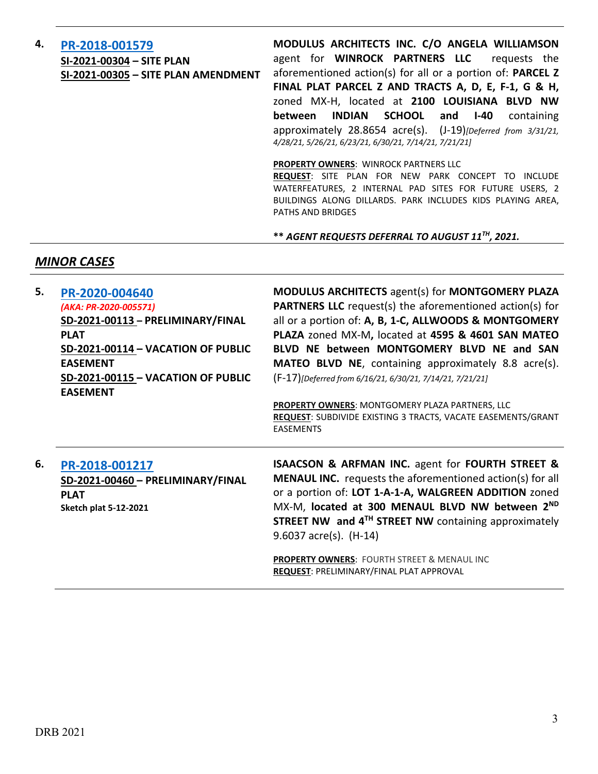| 4. | PR-2018-001579                      |
|----|-------------------------------------|
|    | SI-2021-00304 - SITE PLAN           |
|    | SI-2021-00305 - SITE PLAN AMENDMENT |

**MODULUS ARCHITECTS INC. C/O ANGELA WILLIAMSON**  agent for **WINROCK PARTNERS LLC** requests the aforementioned action(s) for all or a portion of: **PARCEL Z FINAL PLAT PARCEL Z AND TRACTS A, D, E, F-1, G & H,**  zoned MX-H, located at **2100 LOUISIANA BLVD NW between INDIAN SCHOOL and I-40** containing approximately 28.8654 acre(s). (J-19)*[Deferred from 3/31/21, 4/28/21, 5/26/21, 6/23/21, 6/30/21, 7/14/21, 7/21/21]*

#### **PROPERTY OWNERS**: WINROCK PARTNERS LLC

**REQUEST**: SITE PLAN FOR NEW PARK CONCEPT TO INCLUDE WATERFEATURES, 2 INTERNAL PAD SITES FOR FUTURE USERS, 2 BUILDINGS ALONG DILLARDS. PARK INCLUDES KIDS PLAYING AREA, PATHS AND BRIDGES

**\*\*** *AGENT REQUESTS DEFERRAL TO AUGUST 11TH, 2021.*

## *MINOR CASES*

| 5. | PR-2020-004640<br>(AKA: PR-2020-005571)<br>SD-2021-00113 - PRELIMINARY/FINAL<br><b>PLAT</b><br>SD-2021-00114 - VACATION OF PUBLIC<br><b>EASEMENT</b><br>SD-2021-00115 - VACATION OF PUBLIC<br><b>EASEMENT</b> | <b>MODULUS ARCHITECTS agent(s) for MONTGOMERY PLAZA</b><br><b>PARTNERS LLC</b> request(s) the aforementioned action(s) for<br>all or a portion of: A, B, 1-C, ALLWOODS & MONTGOMERY<br>PLAZA zoned MX-M, located at 4595 & 4601 SAN MATEO<br>BLVD NE between MONTGOMERY BLVD NE and SAN<br><b>MATEO BLVD NE</b> , containing approximately 8.8 acre(s).<br>(F-17)[Deferred from 6/16/21, 6/30/21, 7/14/21, 7/21/21]<br>PROPERTY OWNERS: MONTGOMERY PLAZA PARTNERS, LLC<br>REQUEST: SUBDIVIDE EXISTING 3 TRACTS, VACATE EASEMENTS/GRANT<br><b>EASEMENTS</b> |
|----|---------------------------------------------------------------------------------------------------------------------------------------------------------------------------------------------------------------|------------------------------------------------------------------------------------------------------------------------------------------------------------------------------------------------------------------------------------------------------------------------------------------------------------------------------------------------------------------------------------------------------------------------------------------------------------------------------------------------------------------------------------------------------------|
| 6. | PR-2018-001217<br>SD-2021-00460 - PRELIMINARY/FINAL<br><b>PLAT</b><br><b>Sketch plat 5-12-2021</b>                                                                                                            | <b>ISAACSON &amp; ARFMAN INC.</b> agent for FOURTH STREET &<br><b>MENAUL INC.</b> requests the aforementioned action(s) for all<br>or a portion of: LOT 1-A-1-A, WALGREEN ADDITION zoned<br>MX-M, located at 300 MENAUL BLVD NW between 2ND<br>STREET NW and 4 <sup>TH</sup> STREET NW containing approximately<br>$9.6037$ acre(s). (H-14)<br>PROPERTY OWNERS: FOURTH STREET & MENAUL INC<br>REQUEST: PRELIMINARY/FINAL PLAT APPROVAL                                                                                                                     |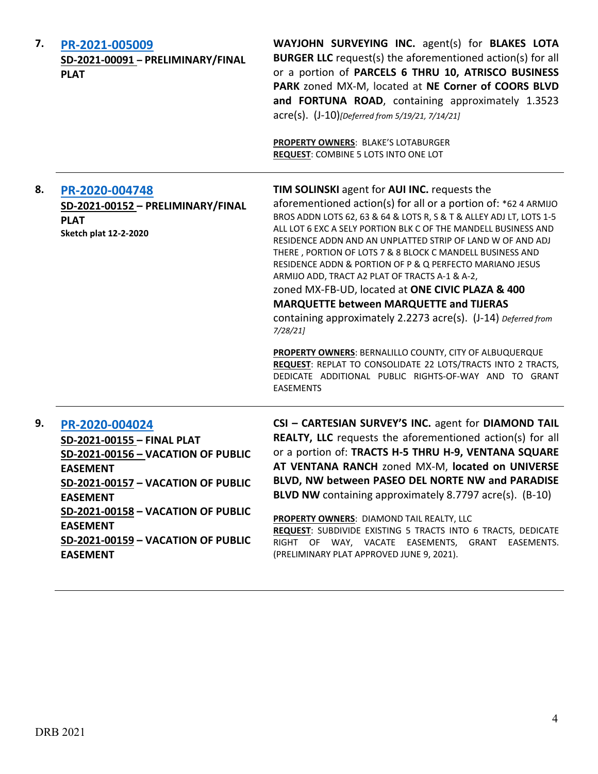| 7. | PR-2021-005009<br>SD-2021-00091 - PRELIMINARY/FINAL<br><b>PLAT</b>                                 | WAYJOHN SURVEYING INC. agent(s) for BLAKES LOTA<br><b>BURGER LLC</b> request(s) the aforementioned action(s) for all<br>or a portion of PARCELS 6 THRU 10, ATRISCO BUSINESS<br>PARK zoned MX-M, located at NE Corner of COORS BLVD<br>and FORTUNA ROAD, containing approximately 1.3523<br>acre(s). (J-10)[Deferred from 5/19/21, 7/14/21]<br>PROPERTY OWNERS: BLAKE'S LOTABURGER<br>REQUEST: COMBINE 5 LOTS INTO ONE LOT                                                                                                                                                                                                                                                                                                                     |
|----|----------------------------------------------------------------------------------------------------|-----------------------------------------------------------------------------------------------------------------------------------------------------------------------------------------------------------------------------------------------------------------------------------------------------------------------------------------------------------------------------------------------------------------------------------------------------------------------------------------------------------------------------------------------------------------------------------------------------------------------------------------------------------------------------------------------------------------------------------------------|
| 8. | PR-2020-004748<br>SD-2021-00152 - PRELIMINARY/FINAL<br><b>PLAT</b><br><b>Sketch plat 12-2-2020</b> | TIM SOLINSKI agent for AUI INC. requests the<br>aforementioned action(s) for all or a portion of: *62 4 ARMIJO<br>BROS ADDN LOTS 62, 63 & 64 & LOTS R, S & T & ALLEY ADJ LT, LOTS 1-5<br>ALL LOT 6 EXC A SELY PORTION BLK C OF THE MANDELL BUSINESS AND<br>RESIDENCE ADDN AND AN UNPLATTED STRIP OF LAND W OF AND ADJ<br>THERE, PORTION OF LOTS 7 & 8 BLOCK C MANDELL BUSINESS AND<br>RESIDENCE ADDN & PORTION OF P & Q PERFECTO MARIANO JESUS<br>ARMIJO ADD, TRACT A2 PLAT OF TRACTS A-1 & A-2,<br>zoned MX-FB-UD, located at ONE CIVIC PLAZA & 400<br><b>MARQUETTE between MARQUETTE and TIJERAS</b><br>containing approximately 2.2273 acre(s). (J-14) Deferred from<br>7/28/21<br>PROPERTY OWNERS: BERNALILLO COUNTY, CITY OF ALBUQUERQUE |
|    |                                                                                                    | REQUEST: REPLAT TO CONSOLIDATE 22 LOTS/TRACTS INTO 2 TRACTS,<br>DEDICATE ADDITIONAL PUBLIC RIGHTS-OF-WAY AND TO GRANT<br><b>EASEMENTS</b>                                                                                                                                                                                                                                                                                                                                                                                                                                                                                                                                                                                                     |
| 9. | PR-2020-004024                                                                                     | CSI - CARTESIAN SURVEY'S INC. agent for DIAMOND TAIL                                                                                                                                                                                                                                                                                                                                                                                                                                                                                                                                                                                                                                                                                          |
|    | SD-2021-00155 - FINAL PLAT                                                                         | REALTY, LLC requests the aforementioned action(s) for all                                                                                                                                                                                                                                                                                                                                                                                                                                                                                                                                                                                                                                                                                     |
|    | <b>SD-2021-00156 - VACATION OF PUBLIC</b>                                                          | or a portion of: TRACTS H-5 THRU H-9, VENTANA SQUARE                                                                                                                                                                                                                                                                                                                                                                                                                                                                                                                                                                                                                                                                                          |
|    | <b>EASEMENT</b>                                                                                    | AT VENTANA RANCH zoned MX-M, located on UNIVERSE                                                                                                                                                                                                                                                                                                                                                                                                                                                                                                                                                                                                                                                                                              |
|    | SD-2021-00157 - VACATION OF PUBLIC                                                                 | BLVD, NW between PASEO DEL NORTE NW and PARADISE                                                                                                                                                                                                                                                                                                                                                                                                                                                                                                                                                                                                                                                                                              |
|    | <b>EASEMENT</b>                                                                                    | BLVD NW containing approximately 8.7797 acre(s). (B-10)                                                                                                                                                                                                                                                                                                                                                                                                                                                                                                                                                                                                                                                                                       |
|    | SD-2021-00158 - VACATION OF PUBLIC                                                                 | PROPERTY OWNERS: DIAMOND TAIL REALTY, LLC                                                                                                                                                                                                                                                                                                                                                                                                                                                                                                                                                                                                                                                                                                     |
|    | <b>EASEMENT</b>                                                                                    | REQUEST: SUBDIVIDE EXISTING 5 TRACTS INTO 6 TRACTS, DEDICATE                                                                                                                                                                                                                                                                                                                                                                                                                                                                                                                                                                                                                                                                                  |
|    | SD-2021-00159 - VACATION OF PUBLIC<br><b>EASEMENT</b>                                              | RIGHT OF WAY, VACATE EASEMENTS, GRANT EASEMENTS.<br>(PRELIMINARY PLAT APPROVED JUNE 9, 2021).                                                                                                                                                                                                                                                                                                                                                                                                                                                                                                                                                                                                                                                 |